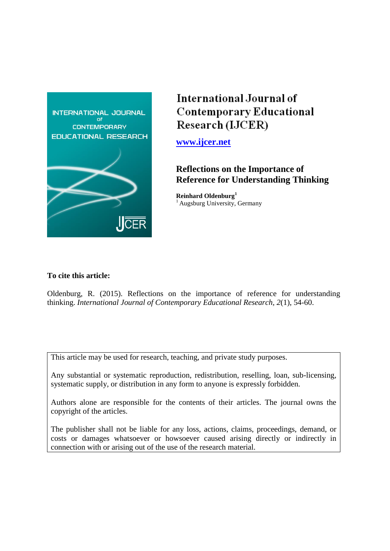

# International Journal of **Contemporary Educational** Research (IJCER)

**[www.ijcer.net](http://www.ijcer.net/)**

# **Reflections on the Importance of Reference for Understanding Thinking**

**Reinhard Oldenburg<sup>1</sup>** <sup>1</sup> Augsburg University, Germany

# **To cite this article:**

Oldenburg, R. (2015). Reflections on the importance of reference for understanding thinking. *International Journal of Contemporary Educational Research, 2*(1), 54-60.

This article may be used for research, teaching, and private study purposes.

Any substantial or systematic reproduction, redistribution, reselling, loan, sub-licensing, systematic supply, or distribution in any form to anyone is expressly forbidden.

Authors alone are responsible for the contents of their articles. The journal owns the copyright of the articles.

The publisher shall not be liable for any loss, actions, claims, proceedings, demand, or costs or damages whatsoever or howsoever caused arising directly or indirectly in connection with or arising out of the use of the research material.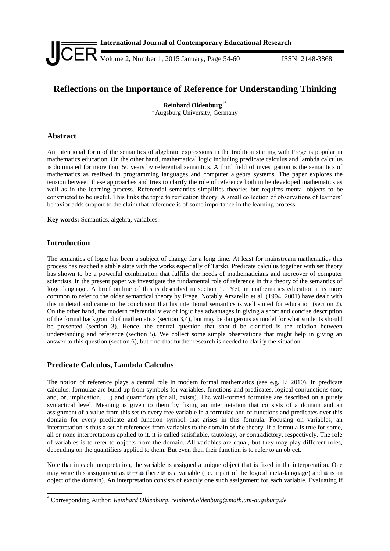

# **Reflections on the Importance of Reference for Understanding Thinking**

**Reinhard Oldenburg1\*** <sup>1</sup> Augsburg University, Germany

# **Abstract**

An intentional form of the semantics of algebraic expressions in the tradition starting with Frege is popular in mathematics education. On the other hand, mathematical logic including predicate calculus and lambda calculus is dominated for more than 50 years by referential semantics. A third field of investigation is the semantics of mathematics as realized in programming languages and computer algebra systems. The paper explores the tension between these approaches and tries to clarify the role of reference both in he developed mathematics as well as in the learning process. Referential semantics simplifies theories but requires mental objects to be constructed to be useful. This links the topic to reification theory. A small collection of observations of learners' behavior adds support to the claim that reference is of some importance in the learning process.

**Key words:** Semantics, algebra, variables.

# **Introduction**

-

The semantics of logic has been a subject of change for a long time. At least for mainstream mathematics this process has reached a stable state with the works especially of Tarski. Predicate calculus together with set theory has shown to be a powerful combination that fulfills the needs of mathematicians and moreover of computer scientists. In the present paper we investigate the fundamental role of reference in this theory of the semantics of logic language. A brief outline of this is described in section 1. Yet, in mathematics education it is more common to refer to the older semantical theory by Frege. Notably Arzarello et al. (1994, 2001) have dealt with this in detail and came to the conclusion that his intentional semantics is well suited for education (section 2). On the other hand, the modern referential view of logic has advantages in giving a short and concise description of the formal background of mathematics (section 3,4), but may be dangerous as model for what students should be presented (section 3). Hence, the central question that should be clarified is the relation between understanding and reference (section 5). We collect some simple observations that might help in giving an answer to this question (section 6), but find that further research is needed to clarify the situation.

## **Predicate Calculus, Lambda Calculus**

The notion of reference plays a central role in modern formal mathematics (see e.g. Li 2010). In predicate calculus, formulae are build up from symbols for variables, functions and predicates, logical conjunctions (not, and, or, implication, …) and quantifiers (for all, exists). The well-formed formulae are described on a purely syntactical level. Meaning is given to them by fixing an interpretation that consists of a domain and an assignment of a value from this set to every free variable in a formulae and of functions and predicates over this domain for every predicate and function symbol that arises in this formula. Focusing on variables, an interpretation is thus a set of references from variables to the domain of the theory. If a formula is true for some, all or none interpretations applied to it, it is called satisfiable, tautology, or contradictory, respectively. The role of variables is to refer to objects from the domain. All variables are equal, but they may play different roles, depending on the quantifiers applied to them. But even then their function is to refer to an object.

Note that in each interpretation, the variable is assigned a unique object that is fixed in the interpretation. One may write this assignment as  $v \to a$  (here v is a variable (i.e. a part of the logical meta-language) and a is an object of the domain). An interpretation consists of exactly one such assignment for each variable. Evaluating if

<sup>\*</sup> Corresponding Author: *Reinhard Oldenburg, reinhard.oldenburg@math.uni-augsburg.de*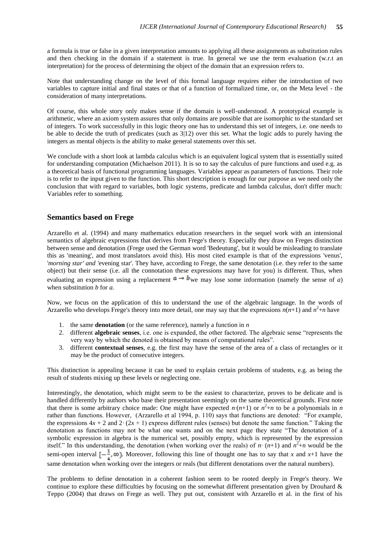a formula is true or false in a given interpretation amounts to applying all these assignments as substitution rules and then checking in the domain if a statement is true. In general we use the term evaluation (w.r.t an interpretation) for the process of determining the object of the domain that an expression refers to.

Note that understanding change on the level of this formal language requires either the introduction of two variables to capture initial and final states or that of a function of formalized time, or, on the Meta level - the consideration of many interpretations.

Of course, this whole story only makes sense if the domain is well-understood. A prototypical example is arithmetic, where an axiom system assures that only domains are possible that are isomorphic to the standard set of integers. To work successfully in this logic theory one has to understand this set of integers, i.e. one needs to be able to decide the truth of predicates (such as 3|12) over this set. What the logic adds to purely having the integers as mental objects is the ability to make general statements over this set.

We conclude with a short look at lambda calculus which is an equivalent logical system that is essentially suited for understanding computation (Michaelson 2011). It is so to say the calculus of pure functions and used e.g. as a theoretical basis of functional programming languages. Variables appear as parameters of functions. Their role is to refer to the input given to the function. This short description is enough for our purpose as we need only the conclusion that with regard to variables, both logic systems, predicate and lambda calculus, don't differ much: Variables refer to something.

#### **Semantics based on Frege**

Arzarello et al. (1994) and many mathematics education researchers in the sequel work with an intensional semantics of algebraic expressions that derives from Frege's theory. Especially they draw on Freges distinction between sense and denotation (Frege used the German word 'Bedeutung', but it would be misleading to translate this as 'meaning', and most translators avoid this). His most cited example is that of the expressions 'venus', '*morning star' and '*evening star'. They have, according to Frege, the same denotation (i.e. they refer to the same object) but their sense (i.e. all the connotation these expressions may have for you) is different. Thus, when evaluating an expression using a replacement  $a \rightarrow b$  we may lose some information (namely the sense of *a*) when substitution *b* for *a.*

Now, we focus on the application of this to understand the use of the algebraic language. In the words of Arzarello who develops Frege's theory into more detail, one may say that the expressions  $n(n+1)$  and  $n^2+n$  have

- 1. the same **denotation** (or the same reference), namely a function in *n*
- 2. different **algebraic senses**, i.e. one is expanded, the other factored. The algebraic sense "represents the very way by which the denoted is obtained by means of computational rules".
- 3. different **contextual senses**, e.g. the first may have the sense of the area of a class of rectangles or it may be the product of consecutive integers.

This distinction is appealing because it can be used to explain certain problems of students, e.g. as being the result of students mixing up these levels or neglecting one.

Interestingly, the denotation, which might seem to be the easiest to characterize, proves to be delicate and is handled differently by authors who base their presentation seemingly on the same theoretical grounds. First note that there is some arbitrary choice made: One might have expected  $n(n+1)$  or  $n^2+n$  to be a polynomials in *n* rather than functions. However, (Arzarello et al 1994, p. 110) says that functions are denoted: "For example, the expressions  $4x + 2$  and  $2 \cdot (2x + 1)$  express different rules (senses) but denote the same function." Taking the denotation as functions may not be what one wants and on the next page they state "The denotation of a symbolic expression in algebra is the numerical set, possibly empty, which is represented by the expression itself." In this understanding, the denotation (when working over the reals) of  $n \cdot (n+1)$  and  $n^2+n$  would be the semi-open interval  $\left[-\frac{1}{x}, \infty\right)$ . Moreover, following this line of thought one has to say that *x* and *x*+1 have the same denotation when working over the integers or reals (but different denotations over the natural numbers).

The problems to define denotation in a coherent fashion seem to be rooted deeply in Frege's theory. We continue to explore these difficulties by focusing on the somewhat different presentation given by Drouhard & Teppo (2004) that draws on Frege as well. They put out, consistent with Arzarello et al. in the first of his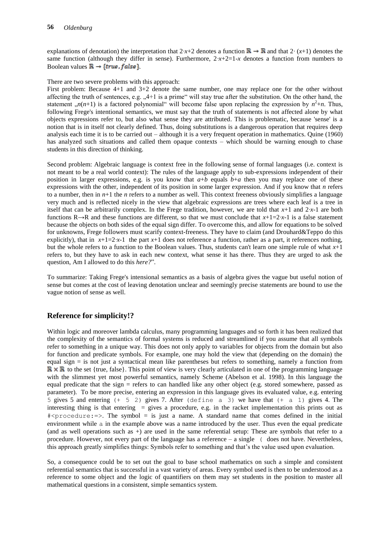explanations of denotation) the interpretation that  $2 \cdot x + 2$  denotes a function  $\mathbb{R} \to \mathbb{R}$  and that  $2 \cdot (x+1)$  denotes the same function (although they differ in sense). Furthermore,  $2 \cdot x + 2 = 1 - x$  denotes a function from numbers to Boolean values  $\mathbb{R} \to \{true, false\}$ .

There are two severe problems with this approach:

First problem: Because 4+1 and 3+2 denote the same number, one may replace one for the other without affecting the truth of sentences, e.g.  $,4+1$  is a prime" will stay true after the substitution. On the other hand, the statement  $n(n+1)$  is a factored polynomial will become false upon replacing the expression by  $n^2+n$ . Thus, following Frege's intentional semantics, we must say that the truth of statements is not affected alone by what objects expressions refer to, but also what sense they are attributed. This is problematic, because 'sense' is a notion that is in itself not clearly defined. Thus, doing substitutions is a dangerous operation that requires deep analysis each time it is to be carried out – although it is a very frequent operation in mathematics. Quine (1960) has analyzed such situations and called them opaque contexts – which should be warning enough to chase students in this direction of thinking.

Second problem: Algebraic language is context free in the following sense of formal languages (i.e. context is not meant to be a real world context): The rules of the language apply to sub-expressions independent of their position in larger expressions, e.g. is you know that  $a+b$  equals  $b+a$  then you may replace one of these expressions with the other, independent of its position in some larger expression. And if you know that *n* refers to a number, then in  $n+1$  the *n* refers to a number as well. This context freeness obviously simplifies a language very much and is reflected nicely in the view that algebraic expressions are trees where each leaf is a tree in itself that can be arbitrarily complex. In the Frege tradition, however, we are told that *x*+1 and 2*·x*-1 are both functions  $R \rightarrow R$  and these functions are different, so that we must conclude that  $x+1=2x-1$  is a false statement because the objects on both sides of the equal sign differ. To overcome this, and allow for equations to be solved for unknowns, Frege followers must scarify context-freeness. They have to claim (and Drouhard&Teppo do this explicitly), that in  $x+1=2x-1$  the part  $x+1$  does not reference a function, rather as a part, it references nothing, but the whole refers to a function to the Boolean values. Thus, students can't learn one simple rule of what *x*+1 refers to, but they have to ask in each new context, what sense it has there. Thus they are urged to ask the question, Am I allowed to do this *here?*".

To summarize: Taking Frege's intensional semantics as a basis of algebra gives the vague but useful notion of sense but comes at the cost of leaving denotation unclear and seemingly precise statements are bound to use the vague notion of sense as well.

# **Reference for simplicity!?**

Within logic and moreover lambda calculus, many programming languages and so forth it has been realized that the complexity of the semantics of formal systems is reduced and streamlined if you assume that all symbols refer to something in a unique way. This does not only apply to variables for objects from the domain but also for function and predicate symbols. For example, one may hold the view that (depending on the domain) the equal sign = is not just a syntactical mean like parentheses but refers to something, namely a function from  $\mathbb{R} \times \mathbb{R}$  to the set {true, false}. This point of view is very clearly articulated in one of the programming language with the slimmest yet most powerful semantics, namely Scheme (Abelson et al. 1998). In this language the equal predicate that the sign = refers to can handled like any other object (e.g. stored somewhere, passed as parameter). To be more precise, entering an expression in this language gives its evaluated value, e.g. entering 5 gives 5 and entering (+ 5 2) gives 7. After (define a 3) we have that (+ a 1) gives 4. The interesting thing is that entering  $=$  gives a procedure, e.g. in the racket implementation this prints out as  $\frac{4}{2}$   $\frac{1}{2}$   $\frac{1}{2}$   $\frac{1}{2}$   $\frac{1}{2}$   $\frac{1}{2}$   $\frac{1}{2}$  is just a name. A standard name that comes defined in the initial environment while a in the example above was a name introduced by the user. Thus even the equal predicate (and as well operations such as +) are used in the same referential setup: These are symbols that refer to a procedure. However, not every part of the language has a reference – a single ( does not have. Nevertheless, this approach greatly simplifies things: Symbols refer to something and that's the value used upon evaluation.

So, a consequence could be to set out the goal to base school mathematics on such a simple and consistent referential semantics that is successful in a vast variety of areas. Every symbol used is then to be understood as a reference to some object and the logic of quantifiers on them may set students in the position to master all mathematical questions in a consistent, simple semantics system.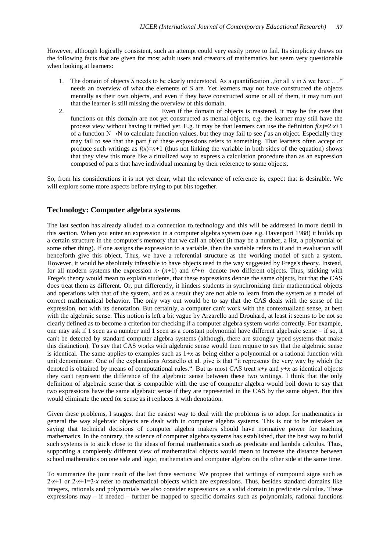However, although logically consistent, such an attempt could very easily prove to fail. Its simplicity draws on the following facts that are given for most adult users and creators of mathematics but seem very questionable when looking at learners:

- 1. The domain of objects *S* needs to be clearly understood. As a quantification  $\Lambda$  for all *x* in *S* we have  $\ldots$ " needs an overview of what the elements of *S* are. Yet learners may not have constructed the objects mentally as their own objects, and even if they have constructed some or all of them, it may turn out that the learner is still missing the overview of this domain.
- 2. Even if the domain of objects is mastered, it may be the case that functions on this domain are not yet constructed as mental objects, e.g. the learner may still have the process view without having it reified yet. E.g. it may be that learners can use the definition  $f(x)=2x+1$ of a function N $\rightarrow$ N to calculate function values, but they may fail to see f as an object. Especially they may fail to see that the part *f* of these expressions refers to something. That learners often accept or produce such writings as  $f(x)=n+1$  (thus not linking the variable in both sides of the equation) shows that they view this more like a ritualized way to express a calculation procedure than as an expression composed of parts that have individual meaning by their reference to some objects.

So, from his considerations it is not yet clear, what the relevance of reference is, expect that is desirable. We will explore some more aspects before trying to put bits together.

#### **Technology: Computer algebra systems**

The last section has already alluded to a connection to technology and this will be addressed in more detail in this section. When you enter an expression in a computer algebra system (see e.g. Davenport 1988) it builds up a certain structure in the computer's memory that we call an object (it may be a number, a list, a polynomial or some other thing). If one assigns the expression to a variable, then the variable refers to it and in evaluation will henceforth give this object. Thus, we have a referential structure as the working model of such a system. However, it would be absolutely infeasible to have objects used in the way suggested by Frege's theory. Instead, for all modern systems the expression  $n \cdot (n+1)$  and  $n^2+n$  denote two different objects. Thus, sticking with Frege's theory would mean to explain students, that these expressions denote the same objects, but that the CAS does treat them as different. Or, put differently, it hinders students in synchronizing their mathematical objects and operations with that of the system, and as a result they are not able to learn from the system as a model of correct mathematical behavior. The only way out would be to say that the CAS deals with the sense of the expression, not with its denotation. But certainly, a computer can't work with the contextualized sense, at best with the algebraic sense. This notion is left a bit vague by Arzarello and Drouhard, at least it seems to be not so clearly defined as to become a criterion for checking if a computer algebra system works correctly. For example, one may ask if 1 seen as a number and 1 seen as a constant polynomial have different algebraic sense – if so, it can't be detected by standard computer algebra systems (although, there are strongly typed systems that make this distinction). To say that CAS works with algebraic sense would then require to say that the algebraic sense is identical. The same applies to examples such as  $1+x$  as being either a polynomial or a rational function with unit denominator. One of the explanations Arzarello et al. give is that "it represents the very way by which the denoted is obtained by means of computational rules.". But as most CAS treat *x*+*y* and *y*+*x* as identical objects they can't represent the difference of the algebraic sense between these two writings. I think that the only definition of algebraic sense that is compatible with the use of computer algebra would boil down to say that two expressions have the same algebraic sense if they are represented in the CAS by the same object. But this would eliminate the need for sense as it replaces it with denotation.

Given these problems, I suggest that the easiest way to deal with the problems is to adopt for mathematics in general the way algebraic objects are dealt with in computer algebra systems. This is not to be mistaken as saying that technical decisions of computer algebra makers should have normative power for teaching mathematics. In the contrary, the science of computer algebra systems has established, that the best way to build such systems is to stick close to the ideas of formal mathematics such as predicate and lambda calculus. Thus, supporting a completely different view of mathematical objects would mean to increase the distance between school mathematics on one side and logic, mathematics and computer algebra on the other side at the same time.

To summarize the joint result of the last three sections: We propose that writings of compound signs such as 2⋅*x*+1 or 2⋅*x*+1=3⋅*x* refer to mathematical objects which are expressions. Thus, besides standard domains like integers, rationals and polynomials we also consider expressions as a valid domain in predicate calculus. These expressions may – if needed – further be mapped to specific domains such as polynomials, rational functions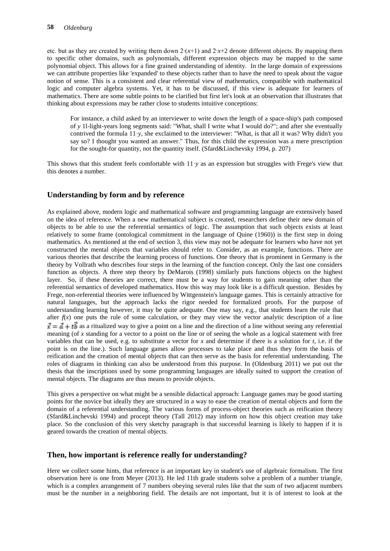etc. but as they are created by writing them down 2∙(*x*+1) and 2∙*x*+2 denote different objects. By mapping them to specific other domains, such as polynomials, different expression objects may be mapped to the same polynomial object. This allows for a fine grained understanding of identity. In the large domain of expressions we can attribute properties like 'expanded' to these objects rather than to have the need to speak about the vague notion of sense. This is a consistent and clear referential view of mathematics, compatible with mathematical logic and computer algebra systems. Yet, it has to be discussed, if this view is adequate for learners of mathematics. There are some subtle points to be clarified but first let's look at an observation that illustrates that thinking about expressions may be rather close to students intuitive conceptions:

For instance, a child asked by an interviewer to write down the length of a space-ship's path composed of *y* 1l-light-years long segments said: "What, shall I write what I would do?"; and after she eventually contrived the formula 11·*y*, she exclaimed to the interviewer: "What, is that all it was? Why didn't you say so? I thought you wanted an answer." Thus, for this child the expression was a mere prescription for the sought-for quantity, not the quantity itself. (Sfard&Linchevsky 1994, p. 207)

This shows that this student feels comfortable with 11·*y* as an expression but struggles with Frege's view that this denotes a number.

## **Understanding by form and by reference**

As explained above, modern logic and mathematical software and programming language are extensively based on the idea of reference. When a new mathematical subject is created, researchers define their new domain of objects to be able to use the referential semantics of logic. The assumption that such objects exists at least relatively to some frame (ontological commitment in the language of Quine (1960)) is the first step in doing mathematics. As mentioned at the end of section 3, this view may not be adequate for learners who have not yet constructed the mental objects that variables should refer to. Consider, as an example, functions. There are various theories that describe the learning process of functions. One theory that is prominent in Germany is the theory by Vollrath who describes four steps in the learning of the function concept. Only the last one considers function as objects. A three step theory by DeMarois (1998) similarly puts functions objects on the highest layer. So, if these theories are correct, there must be a way for students to gain meaning other than the referential semantics of developed mathematics. How this way may look like is a difficult question. Besides by Frege, non-referential theories were influenced by Wittgenstein's language games. This is certainly attractive for natural languages, but the approach lacks the rigor needed for formalized proofs. For the purpose of understanding learning however, it may be quite adequate. One may say, e.g., that students learn the rule that after  $f(x)$  one puts the rule of some calculation, or they may view the vector analytic description of a line  $\vec{x} = \vec{a} + t\vec{b}$  as a ritualized way to give a point on a line and the direction of a line without seeing any referential meaning (of x standing for a vector to a point on the line or of seeing the whole as a logical statement with free variables that can be used, e.g. to substitute a vector for *x* and determine if there is a solution for *t*, i.e. if the point is on the line.). Such language games allow processes to take place and thus they form the basis of reification and the creation of mental objects that can then serve as the basis for referential understanding. The roles of diagrams in thinking can also be understood from this purpose. In (Oldenburg 2011) we put out the thesis that the inscriptions used by some programming languages are ideally suited to support the creation of mental objects. The diagrams are thus means to provide objects.

This gives a perspective on what might be a sensible didactical approach: Language games may be good starting points for the novice but ideally they are structured in a way to ease the creation of mental objects and form the domain of a referential understanding. The various forms of process-object theories such as reification theory (Sfard&Linchevski 1994) and procept theory (Tall 2012) may inform on how this object creation may take place. So the conclusion of this very sketchy paragraph is that successful learning is likely to happen if it is geared towards the creation of mental objects.

#### **Then, how important is reference really for understanding?**

Here we collect some hints, that reference is an important key in student's use of algebraic formalism. The first observation here is one from Meyer (2013). He led 11th grade students solve a problem of a number triangle, which is a complex arrangement of 7 numbers obeying several rules like that the sum of two adjacent numbers must be the number in a neighboring field. The details are not important, but it is of interest to look at the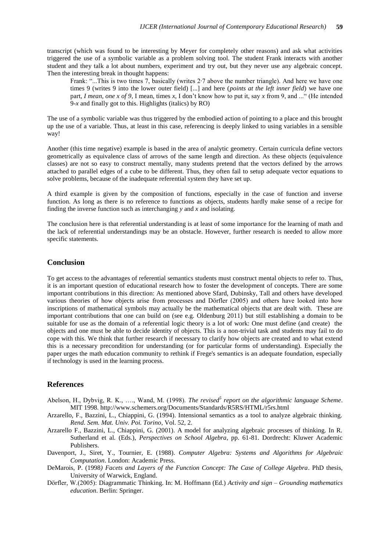transcript (which was found to be interesting by Meyer for completely other reasons) and ask what activities triggered the use of a symbolic variable as a problem solving tool. The student Frank interacts with another student and they talk a lot about numbers, experiment and try out, but they never use any algebraic concept. Then the interesting break in thought happens:

Frank: "...This is two times 7, basically (writes 2∙7 above the number triangle). And here we have one times 9 (writes 9 into the lower outer field) [...] and here (*points at the left inner field*) we have one part, *I mean, one x of 9*, I mean, times *x*, I don't know how to put it, say *x* from 9, and ..." (He intended 9-*x* and finally got to this. Highlights (italics) by RO)

The use of a symbolic variable was thus triggered by the embodied action of pointing to a place and this brought up the use of a variable. Thus, at least in this case, referencing is deeply linked to using variables in a sensible way!

Another (this time negative) example is based in the area of analytic geometry. Certain curricula define vectors geometrically as equivalence class of arrows of the same length and direction. As these objects (equivalence classes) are not so easy to construct mentally, many students pretend that the vectors defined by the arrows attached to parallel edges of a cube to be different. Thus, they often fail to setup adequate vector equations to solve problems, because of the inadequate referential system they have set up.

A third example is given by the composition of functions, especially in the case of function and inverse function. As long as there is no reference to functions as objects, students hardly make sense of a recipe for finding the inverse function such as interchanging *y* and *x* and isolating.

The conclusion here is that referential understanding is at least of some importance for the learning of math and the lack of referential understandings may be an obstacle. However, further research is needed to allow more specific statements.

#### **Conclusion**

To get access to the advantages of referential semantics students must construct mental objects to refer to. Thus, it is an important question of educational research how to foster the development of concepts. There are some important contributions in this direction: As mentioned above Sfard, Dubinsky, Tall and others have developed various theories of how objects arise from processes and Dörfler (2005) and others have looked into how inscriptions of mathematical symbols may actually be the mathematical objects that are dealt with. These are important contributions that one can build on (see e.g. Oldenburg 2011) but still establishing a domain to be suitable for use as the domain of a referential logic theory is a lot of work: One must define (and create) the objects and one must be able to decide identity of objects. This is a non-trivial task and students may fail to do cope with this. We think that further research if necessary to clarify how objects are created and to what extend this is a necessary precondition for understanding (or for particular forms of understanding). Especially the paper urges the math education community to rethink if Frege's semantics is an adequate foundation, especially if technology is used in the learning process.

## **References**

- Abelson, H., Dybvig, R. K., …., Wand, M. (1998). *The revised<sup>5</sup> report on the algorithmic language Scheme*. MIT 1998. http://www.schemers.org/Documents/Standards/R5RS/HTML/r5rs.html
- Arzarello, F., Bazzini, L., Chiappini, G. (1994). Intensional semantics as a tool to analyze algebraic thinking. *Rend. Sem. Mat. Univ. Poi. Torino*, Vol. 52, 2.
- Arzarello F., Bazzini, L., Chiappini, G. (2001). A model for analyzing algebraic processes of thinking. In R. Sutherland et al. (Eds.), *Perspectives on School Algebra*, pp. 61-81. Dordrecht: Kluwer Academic Publishers.
- Davenport, J., Siret, Y., Tournier, E. (1988). *Computer Algebra: Systems and Algorithms for Algebraic Computation*. London: Academic Press.
- DeMarois, P. (1998*) Facets and Layers of the Function Concept: The Case of College Algebra*. PhD thesis, University of Warwick, England.
- Dörfler, W.(2005): Diagrammatic Thinking. In: M. Hoffmann (Ed.) *Activity and sign – Grounding mathematics education*. Berlin: Springer.